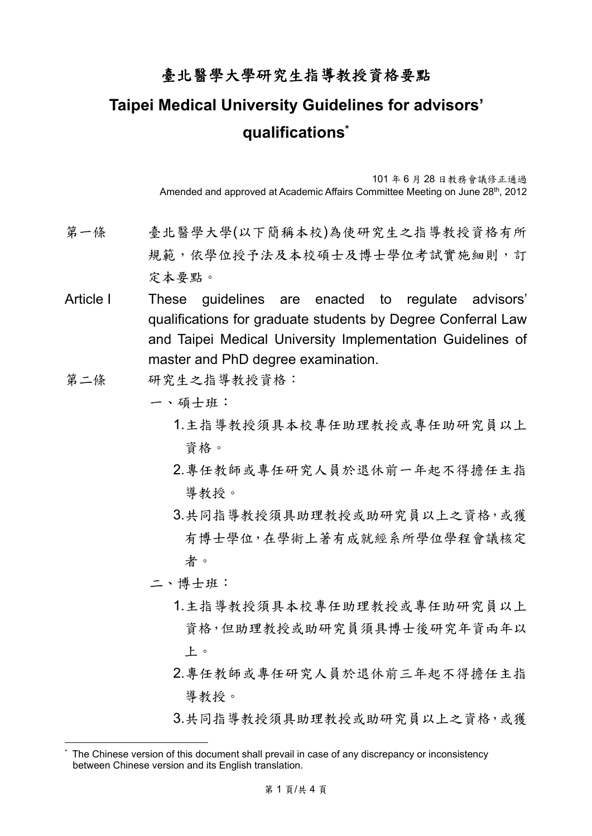## 臺北醫學大學研究生指導教授資格要點

## **Taipei Medical University Guidelines for advisors' qualifications\***

101 年 6 月 28 日教務會議修正通過 Amended and approved at Academic Affairs Committee Meeting on June 28<sup>th</sup>, 2012

- 第一條 臺北醫學大學(以下簡稱本校)為使研究生之指導教授資格有所 規範,依學位授予法及本校碩士及博士學位考試實施細則,訂 定本要點。
- Article I These quidelines are enacted to regulate advisors' qualifications for graduate students by Degree Conferral Law and Taipei Medical University Implementation Guidelines of master and PhD degree examination.
- 第二條 研究生之指導教授資格:
	- 一、碩士班:
		- 1.主指導教授須具本校專任助理教授或專任助研究員以上 資格。
		- 2.專任教師或專任研究人員於退休前一年起不得擔任主指 導教授。
		- 3.共同指導教授須具助理教授或助研究員以上之資格,或獲 有博士學位,在學術上著有成就經系所學位學程會議核定 者。
	- 二、博士班:

1

- 1.主指導教授須具本校專任助理教授或專任助研究員以上 資格,但助理教授或助研究員須具博士後研究年資兩年以 上。
- 2.專任教師或專任研究人員於退休前三年起不得擔任主指 導教授。
- 3.共同指導教授須具助理教授或助研究員以上之資格,或獲

<sup>\*</sup> The Chinese version of this document shall prevail in case of any discrepancy or inconsistency between Chinese version and its English translation.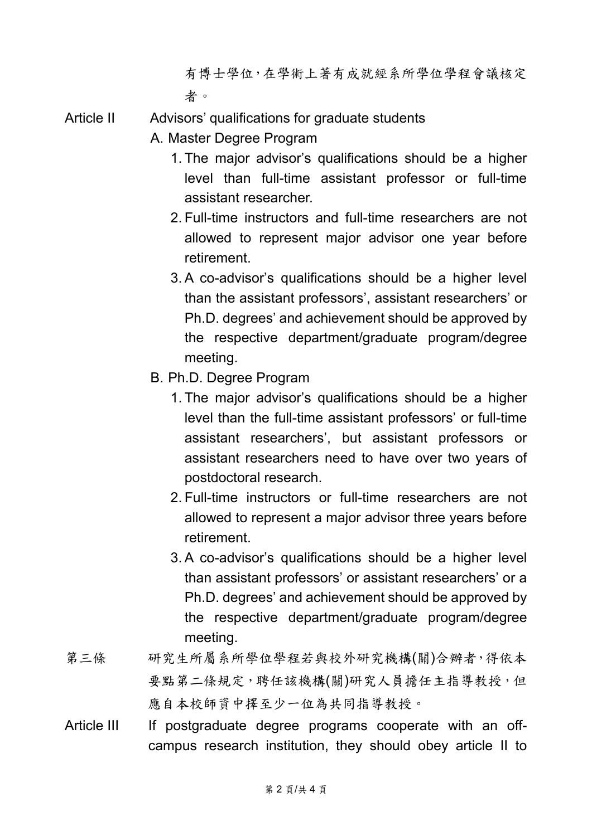有博士學位,在學術上著有成就經系所學位學程會議核定 者。

Article II Advisors' qualifications for graduate students

- A. Master Degree Program
	- 1. The major advisor's qualifications should be a higher level than full-time assistant professor or full-time assistant researcher.
	- 2. Full-time instructors and full-time researchers are not allowed to represent major advisor one year before retirement.
	- 3. A co-advisor's qualifications should be a higher level than the assistant professors', assistant researchers' or Ph.D. degrees' and achievement should be approved by the respective department/graduate program/degree meeting.
- B. Ph.D. Degree Program
	- 1. The major advisor's qualifications should be a higher level than the full-time assistant professors' or full-time assistant researchers', but assistant professors or assistant researchers need to have over two years of postdoctoral research.
	- 2. Full-time instructors or full-time researchers are not allowed to represent a major advisor three years before retirement.
	- 3. A co-advisor's qualifications should be a higher level than assistant professors' or assistant researchers' or a Ph.D. degrees' and achievement should be approved by the respective department/graduate program/degree meeting.
- 第三條 研究生所屬系所學位學程若與校外研究機構(關)合辦者,得依本 要點第二條規定,聘任該機構(關)研究人員擔任主指導教授,但 應自本校師資中擇至少一位為共同指導教授。
- Article III If postgraduate degree programs cooperate with an offcampus research institution, they should obey article II to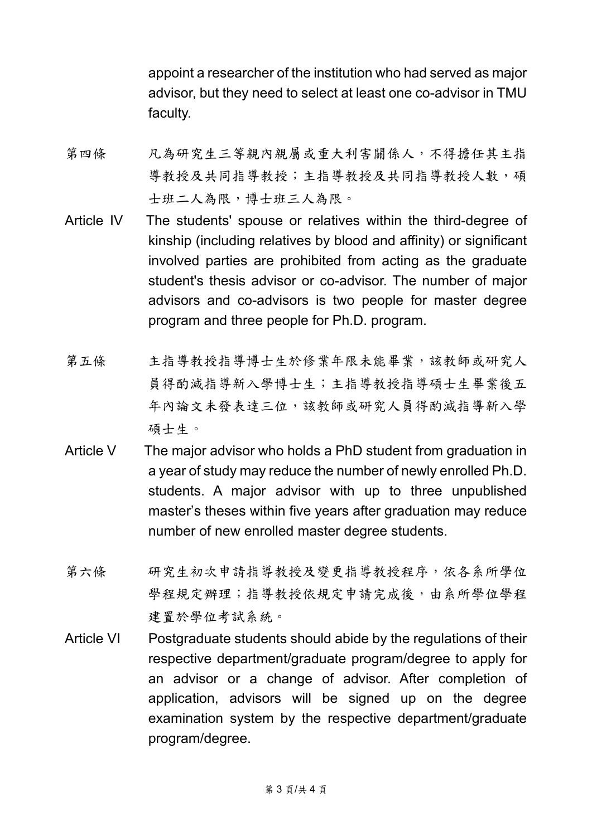appoint a researcher of the institution who had served as major advisor, but they need to select at least one co-advisor in TMU faculty.

- 第四條 凡為研究生三等親內親屬或重大利害關係人,不得擔任其主指 導教授及共同指導教授人數,碩 士班二人為限,博士班三人為限。
- Article IV The students' spouse or relatives within the third-degree of kinship (including relatives by blood and affinity) or significant involved parties are prohibited from acting as the graduate student's thesis advisor or co-advisor. The number of major advisors and co-advisors is two people for master degree program and three people for Ph.D. program.
- 第五條 主指導教授指導博士生於修業年限未能畢業,該教師或研究人 員得酌減指導新入學博士生;主指導教授指導碩士生畢業後五 年內論文未發表達三位,該教師或研究人員得酌減指導新入學 碩士生。
- Article V The major advisor who holds a PhD student from graduation in a year of study may reduce the number of newly enrolled Ph.D. students. A major advisor with up to three unpublished master's theses within five years after graduation may reduce number of new enrolled master degree students.
- 第六條 研究生初次申請指導教授及變更指導教授程序,依各系所學位 學程規定辦理;指導教授依規定申請完成後,由系所學位學程 建置於學位考試系統。
- Article VI Postgraduate students should abide by the regulations of their respective department/graduate program/degree to apply for an advisor or a change of advisor. After completion of application, advisors will be signed up on the degree examination system by the respective department/graduate program/degree.